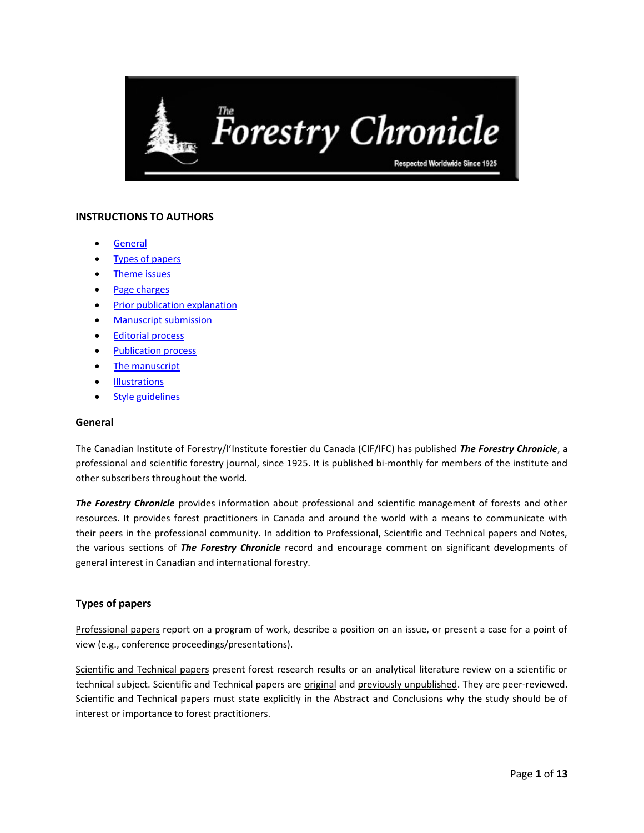

# **INSTRUCTIONS TO AUTHORS**

- [General](#page-0-0)
- [Types of papers](#page-0-1)
- **•** [Theme issues](#page-1-0)
- [Page charges](#page-1-1)
- [Prior publication explanation](#page-1-2)
- **•** [Manuscript submission](#page-1-3)
- [Editorial process](#page-3-0)
- [Publication process](#page-3-1)
- [The manuscript](#page-5-0)
- **[Illustrations](#page-10-0)**
- [Style guidelines](#page-11-0)

# <span id="page-0-0"></span>**General**

The Canadian Institute of Forestry/I'Institute forestier du Canada (CIF/IFC) has published *The Forestry Chronicle*, a professional and scientific forestry journal, since 1925. It is published bi-monthly for members of the institute and other subscribers throughout the world.

*The Forestry Chronicle* provides information about professional and scientific management of forests and other resources. It provides forest practitioners in Canada and around the world with a means to communicate with their peers in the professional community. In addition to Professional, Scientific and Technical papers and Notes, the various sections of *The Forestry Chronicle* record and encourage comment on significant developments of general interest in Canadian and international forestry.

# <span id="page-0-1"></span>**Types of papers**

Professional papers report on a program of work, describe a position on an issue, or present a case for a point of view (e.g., conference proceedings/presentations).

Scientific and Technical papers present forest research results or an analytical literature review on a scientific or technical subject. Scientific and Technical papers are *original* and *previously unpublished*. They are peer-reviewed. Scientific and Technical papers must state explicitly in the Abstract and Conclusions why the study should be of interest or importance to forest practitioners.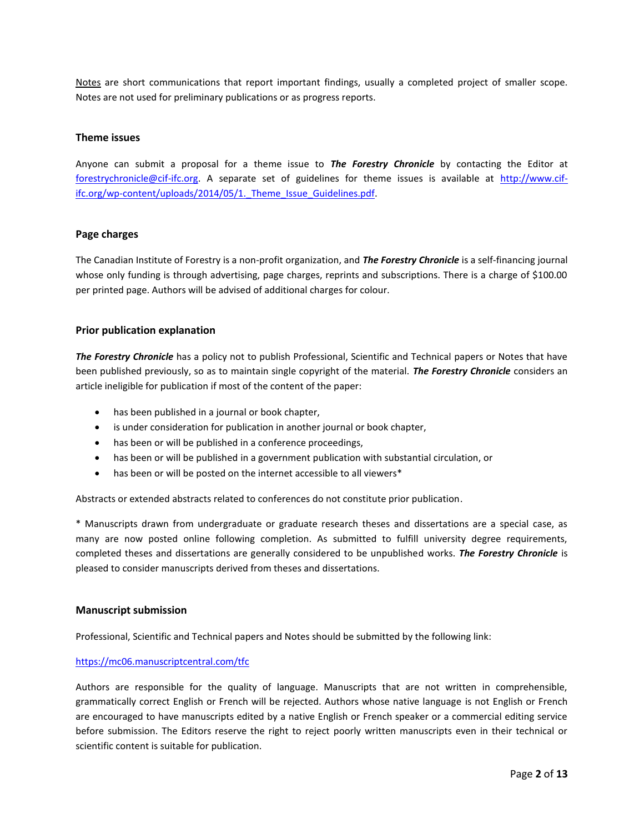Notes are short communications that report important findings, usually a completed project of smaller scope. Notes are not used for preliminary publications or as progress reports.

# <span id="page-1-0"></span>**Theme issues**

Anyone can submit a proposal for a theme issue to *The Forestry Chronicle* by contacting the Editor at [forestrychronicle@cif-ifc.org.](mailto:forestrychronicle@cif-ifc.org) A separate set of guidelines for theme issues is available at [http://www.cif](http://www.cif-ifc.org/wp-content/uploads/2014/05/1._Theme_Issue_Guidelines.pdf)ifc.org/wp-content/uploads/2014/05/1. Theme Issue Guidelines.pdf.

# <span id="page-1-1"></span>**Page charges**

The Canadian Institute of Forestry is a non-profit organization, and *The Forestry Chronicle* is a self-financing journal whose only funding is through advertising, page charges, reprints and subscriptions. There is a charge of \$100.00 per printed page. Authors will be advised of additional charges for colour.

# <span id="page-1-2"></span>**Prior publication explanation**

*The Forestry Chronicle* has a policy not to publish Professional, Scientific and Technical papers or Notes that have been published previously, so as to maintain single copyright of the material. *The Forestry Chronicle* considers an article ineligible for publication if most of the content of the paper:

- has been published in a journal or book chapter,
- is under consideration for publication in another journal or book chapter,
- has been or will be published in a conference proceedings,
- has been or will be published in a government publication with substantial circulation, or
- has been or will be posted on the internet accessible to all viewers\*

Abstracts or extended abstracts related to conferences do not constitute prior publication.

\* Manuscripts drawn from undergraduate or graduate research theses and dissertations are a special case, as many are now posted online following completion. As submitted to fulfill university degree requirements, completed theses and dissertations are generally considered to be unpublished works. *The Forestry Chronicle* is pleased to consider manuscripts derived from theses and dissertations.

### <span id="page-1-3"></span>**Manuscript submission**

Professional, Scientific and Technical papers and Notes should be submitted by the following link:

### <https://mc06.manuscriptcentral.com/tfc>

Authors are responsible for the quality of language. Manuscripts that are not written in comprehensible, grammatically correct English or French will be rejected. Authors whose native language is not English or French are encouraged to have manuscripts edited by a native English or French speaker or a commercial editing service before submission. The Editors reserve the right to reject poorly written manuscripts even in their technical or scientific content is suitable for publication.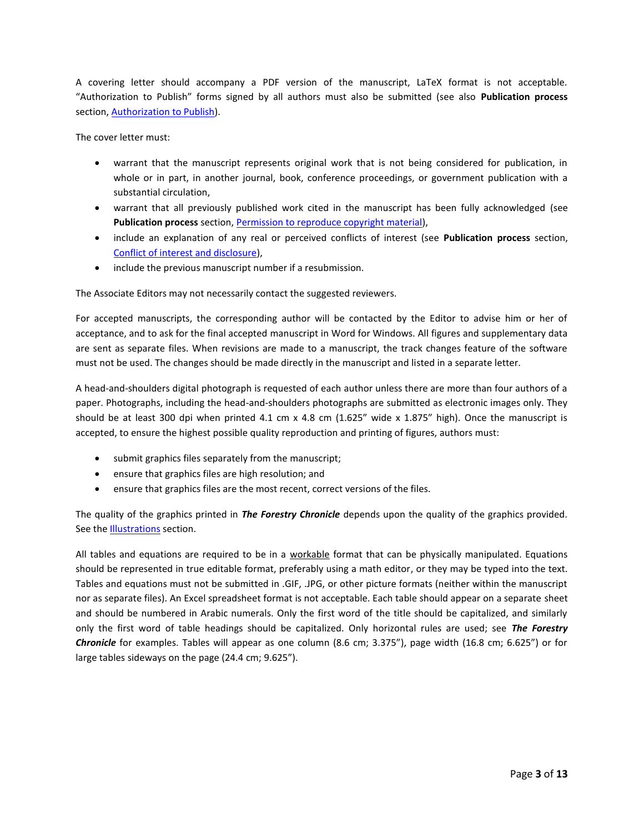A covering letter should accompany a PDF version of the manuscript, LaTeX format is not acceptable. "Authorization to Publish" forms signed by all authors must also be submitted (see also **Publication process** section, [Authorization to Publish\)](#page-4-0).

The cover letter must:

- warrant that the manuscript represents original work that is not being considered for publication, in whole or in part, in another journal, book, conference proceedings, or government publication with a substantial circulation,
- warrant that all previously published work cited in the manuscript has been fully acknowledged (see Publication process section, Permission [to reproduce copyright material\)](#page-4-1),
- include an explanation of any real or perceived conflicts of interest (see **Publication process** section, [Conflict of interest and disclosure\)](#page-4-2),
- include the previous manuscript number if a resubmission.

The Associate Editors may not necessarily contact the suggested reviewers.

For accepted manuscripts, the corresponding author will be contacted by the Editor to advise him or her of acceptance, and to ask for the final accepted manuscript in Word for Windows. All figures and supplementary data are sent as separate files. When revisions are made to a manuscript, the track changes feature of the software must not be used. The changes should be made directly in the manuscript and listed in a separate letter.

A head-and-shoulders digital photograph is requested of each author unless there are more than four authors of a paper. Photographs, including the head-and-shoulders photographs are submitted as electronic images only. They should be at least 300 dpi when printed 4.1 cm x 4.8 cm (1.625" wide x 1.875" high). Once the manuscript is accepted, to ensure the highest possible quality reproduction and printing of figures, authors must:

- submit graphics files separately from the manuscript;
- ensure that graphics files are high resolution; and
- ensure that graphics files are the most recent, correct versions of the files.

The quality of the graphics printed in *The Forestry Chronicle* depends upon the quality of the graphics provided. See the **Illustrations** section.

All tables and equations are required to be in a workable format that can be physically manipulated. Equations should be represented in true editable format, preferably using a math editor, or they may be typed into the text. Tables and equations must not be submitted in .GIF, .JPG, or other picture formats (neither within the manuscript nor as separate files). An Excel spreadsheet format is not acceptable. Each table should appear on a separate sheet and should be numbered in Arabic numerals. Only the first word of the title should be capitalized, and similarly only the first word of table headings should be capitalized. Only horizontal rules are used; see *The Forestry Chronicle* for examples. Tables will appear as one column (8.6 cm; 3.375"), page width (16.8 cm; 6.625") or for large tables sideways on the page (24.4 cm; 9.625").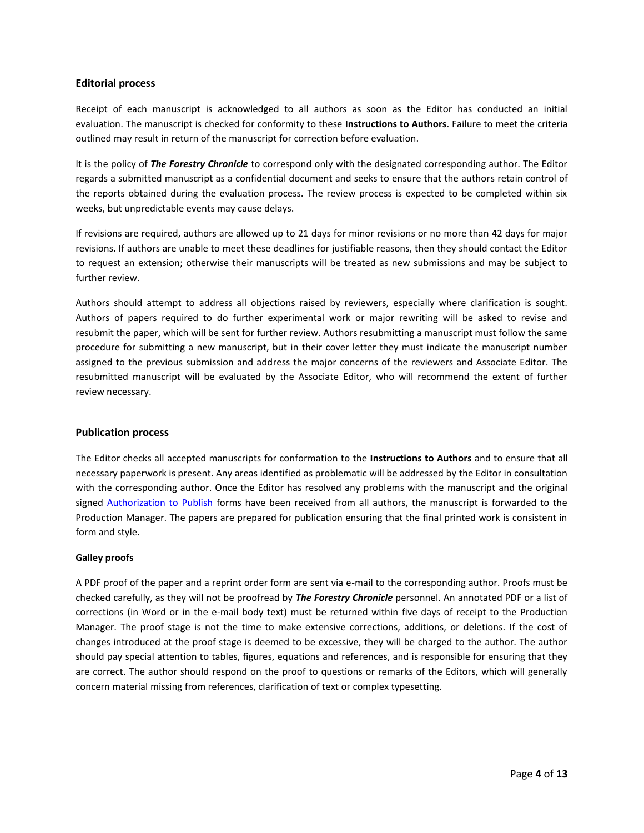# <span id="page-3-0"></span>**Editorial process**

Receipt of each manuscript is acknowledged to all authors as soon as the Editor has conducted an initial evaluation. The manuscript is checked for conformity to these **Instructions to Authors**. Failure to meet the criteria outlined may result in return of the manuscript for correction before evaluation.

It is the policy of *The Forestry Chronicle* to correspond only with the designated corresponding author. The Editor regards a submitted manuscript as a confidential document and seeks to ensure that the authors retain control of the reports obtained during the evaluation process. The review process is expected to be completed within six weeks, but unpredictable events may cause delays.

If revisions are required, authors are allowed up to 21 days for minor revisions or no more than 42 days for major revisions. If authors are unable to meet these deadlines for justifiable reasons, then they should contact the Editor to request an extension; otherwise their manuscripts will be treated as new submissions and may be subject to further review.

Authors should attempt to address all objections raised by reviewers, especially where clarification is sought. Authors of papers required to do further experimental work or major rewriting will be asked to revise and resubmit the paper, which will be sent for further review. Authors resubmitting a manuscript must follow the same procedure for submitting a new manuscript, but in their cover letter they must indicate the manuscript number assigned to the previous submission and address the major concerns of the reviewers and Associate Editor. The resubmitted manuscript will be evaluated by the Associate Editor, who will recommend the extent of further review necessary.

### <span id="page-3-1"></span>**Publication process**

The Editor checks all accepted manuscripts for conformation to the **Instructions to Authors** and to ensure that all necessary paperwork is present. Any areas identified as problematic will be addressed by the Editor in consultation with the corresponding author. Once the Editor has resolved any problems with the manuscript and the original signed [Authorization to Publish](http://www.cif-ifc.org/wp-content/uploads/2014/05/2._Authorization_to_Publish.pdf) forms have been received from all authors, the manuscript is forwarded to the Production Manager. The papers are prepared for publication ensuring that the final printed work is consistent in form and style.

### **Galley proofs**

A PDF proof of the paper and a reprint order form are sent via e-mail to the corresponding author. Proofs must be checked carefully, as they will not be proofread by *The Forestry Chronicle* personnel. An annotated PDF or a list of corrections (in Word or in the e-mail body text) must be returned within five days of receipt to the Production Manager. The proof stage is not the time to make extensive corrections, additions, or deletions. If the cost of changes introduced at the proof stage is deemed to be excessive, they will be charged to the author. The author should pay special attention to tables, figures, equations and references, and is responsible for ensuring that they are correct. The author should respond on the proof to questions or remarks of the Editors, which will generally concern material missing from references, clarification of text or complex typesetting.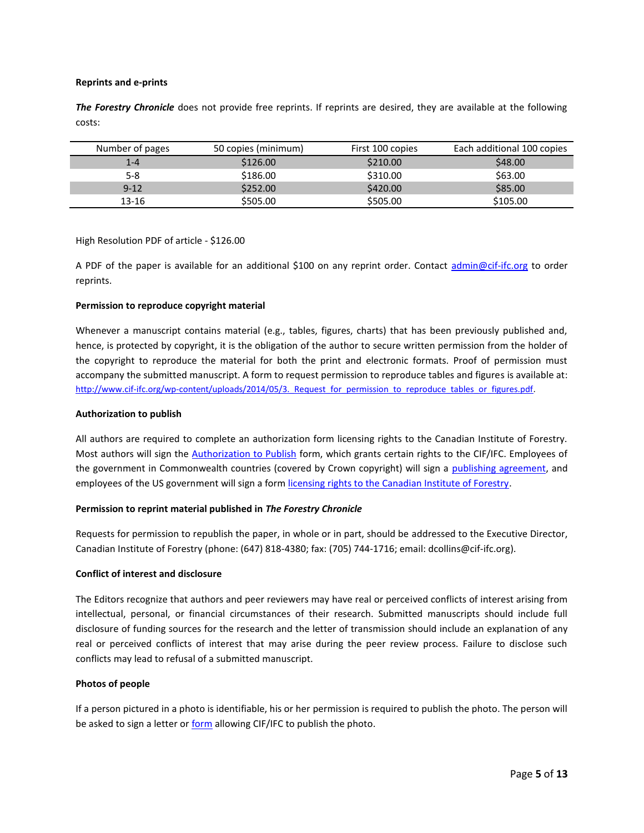### **Reprints and e-prints**

*The Forestry Chronicle* does not provide free reprints. If reprints are desired, they are available at the following costs:

| Number of pages | 50 copies (minimum) | First 100 copies | Each additional 100 copies |
|-----------------|---------------------|------------------|----------------------------|
| $1 - 4$         | \$126.00            | \$210.00         | \$48.00                    |
| 5-8             | \$186.00            | \$310.00         | \$63.00                    |
| $9 - 12$        | \$252.00            | \$420.00         | \$85.00                    |
| $13 - 16$       | \$505.00            | \$505.00         | \$105.00                   |

High Resolution PDF of article - \$126.00

A PDF of the paper is available for an additional \$100 on any reprint order. Contact [admin@cif-ifc.org](mailto:admin@cif-ifc.org) to order reprints.

# <span id="page-4-1"></span>**Permission to reproduce copyright material**

Whenever a manuscript contains material (e.g., tables, figures, charts) that has been previously published and, hence, is protected by copyright, it is the obligation of the author to secure written permission from the holder of the copyright to reproduce the material for both the print and electronic formats. Proof of permission must accompany the submitted manuscript. A form to request permission to reproduce tables and figures is available at: http://www.cif-ifc.org/wp-content/uploads/2014/05/3. Request for permission to reproduce tables or figures.pdf.

## <span id="page-4-0"></span>**Authorization to publish**

All authors are required to complete an authorization form licensing rights to the Canadian Institute of Forestry. Most authors will sign the [Authorization to Publish](http://www.cif-ifc.org/wp-content/uploads/2014/05/2._Authorization_to_Publish.pdf) form, which grants certain rights to the CIF/IFC. Employees of the government in Commonwealth countries (covered by Crown copyright) will sign a [publishing agreement,](http://www.cif-ifc.org/wp-content/uploads/2014/05/4._Publication_Agreement_Manuscript-Crown_Author.pdf) and employees of the US government will sign a form [licensing rights to the Canadian Institute of Forestry.](http://www.cif-ifc.org/wp-content/uploads/2014/05/5._Licence_to_Publish_Manuscript-US-Official.pdf)

### **Permission to reprint material published in** *The Forestry Chronicle*

Requests for permission to republish the paper, in whole or in part, should be addressed to the Executive Director, Canadian Institute of Forestry (phone: (647) 818-4380; fax: (705) 744-1716; email: dcollins@cif-ifc.org).

### <span id="page-4-2"></span>**Conflict of interest and disclosure**

The Editors recognize that authors and peer reviewers may have real or perceived conflicts of interest arising from intellectual, personal, or financial circumstances of their research. Submitted manuscripts should include full disclosure of funding sources for the research and the letter of transmission should include an explanation of any real or perceived conflicts of interest that may arise during the peer review process. Failure to disclose such conflicts may lead to refusal of a submitted manuscript.

### **Photos of people**

If a person pictured in a photo is identifiable, his or her permission is required to publish the photo. The person will be asked to sign a letter or [form](http://www.cif-ifc.org/wp-content/uploads/2014/05/6._Request_for_permission_to_publish_identifying_photo.pdf) allowing CIF/IFC to publish the photo.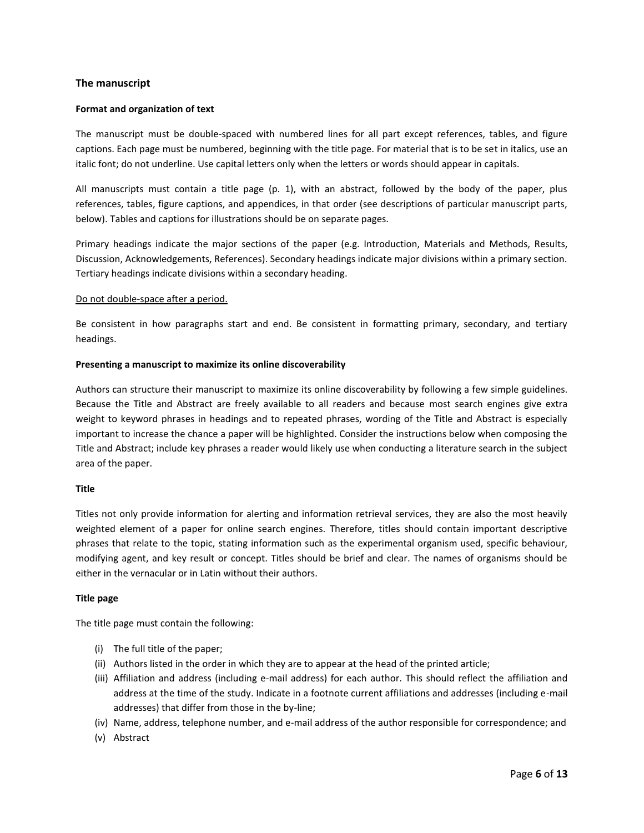# <span id="page-5-0"></span>**The manuscript**

#### **Format and organization of text**

The manuscript must be double-spaced with numbered lines for all part except references, tables, and figure captions. Each page must be numbered, beginning with the title page. For material that is to be set in italics, use an italic font; do not underline. Use capital letters only when the letters or words should appear in capitals.

All manuscripts must contain a title page (p. 1), with an abstract, followed by the body of the paper, plus references, tables, figure captions, and appendices, in that order (see descriptions of particular manuscript parts, below). Tables and captions for illustrations should be on separate pages.

Primary headings indicate the major sections of the paper (e.g. Introduction, Materials and Methods, Results, Discussion, Acknowledgements, References). Secondary headings indicate major divisions within a primary section. Tertiary headings indicate divisions within a secondary heading.

#### Do not double-space after a period.

Be consistent in how paragraphs start and end. Be consistent in formatting primary, secondary, and tertiary headings.

#### **Presenting a manuscript to maximize its online discoverability**

Authors can structure their manuscript to maximize its online discoverability by following a few simple guidelines. Because the Title and Abstract are freely available to all readers and because most search engines give extra weight to keyword phrases in headings and to repeated phrases, wording of the Title and Abstract is especially important to increase the chance a paper will be highlighted. Consider the instructions below when composing the Title and Abstract; include key phrases a reader would likely use when conducting a literature search in the subject area of the paper.

#### **Title**

Titles not only provide information for alerting and information retrieval services, they are also the most heavily weighted element of a paper for online search engines. Therefore, titles should contain important descriptive phrases that relate to the topic, stating information such as the experimental organism used, specific behaviour, modifying agent, and key result or concept. Titles should be brief and clear. The names of organisms should be either in the vernacular or in Latin without their authors.

#### **Title page**

The title page must contain the following:

- (i) The full title of the paper;
- (ii) Authors listed in the order in which they are to appear at the head of the printed article;
- (iii) Affiliation and address (including e-mail address) for each author. This should reflect the affiliation and address at the time of the study. Indicate in a footnote current affiliations and addresses (including e-mail addresses) that differ from those in the by-line;
- (iv) Name, address, telephone number, and e-mail address of the author responsible for correspondence; and
- (v) Abstract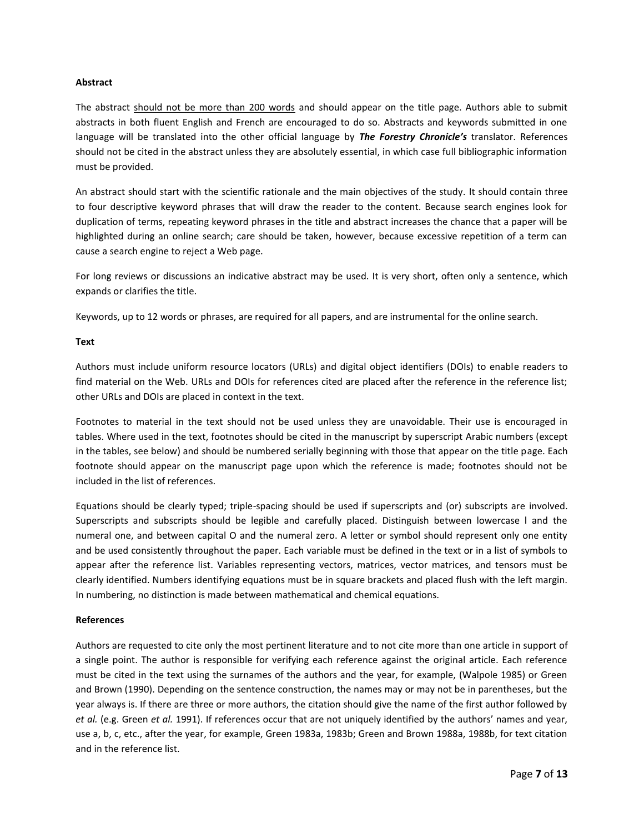## **Abstract**

The abstract should not be more than 200 words and should appear on the title page. Authors able to submit abstracts in both fluent English and French are encouraged to do so. Abstracts and keywords submitted in one language will be translated into the other official language by *The Forestry Chronicle's* translator. References should not be cited in the abstract unless they are absolutely essential, in which case full bibliographic information must be provided.

An abstract should start with the scientific rationale and the main objectives of the study. It should contain three to four descriptive keyword phrases that will draw the reader to the content. Because search engines look for duplication of terms, repeating keyword phrases in the title and abstract increases the chance that a paper will be highlighted during an online search; care should be taken, however, because excessive repetition of a term can cause a search engine to reject a Web page.

For long reviews or discussions an indicative abstract may be used. It is very short, often only a sentence, which expands or clarifies the title.

Keywords, up to 12 words or phrases, are required for all papers, and are instrumental for the online search.

### **Text**

Authors must include uniform resource locators (URLs) and digital object identifiers (DOIs) to enable readers to find material on the Web. URLs and DOIs for references cited are placed after the reference in the reference list; other URLs and DOIs are placed in context in the text.

Footnotes to material in the text should not be used unless they are unavoidable. Their use is encouraged in tables. Where used in the text, footnotes should be cited in the manuscript by superscript Arabic numbers (except in the tables, see below) and should be numbered serially beginning with those that appear on the title page. Each footnote should appear on the manuscript page upon which the reference is made; footnotes should not be included in the list of references.

Equations should be clearly typed; triple-spacing should be used if superscripts and (or) subscripts are involved. Superscripts and subscripts should be legible and carefully placed. Distinguish between lowercase l and the numeral one, and between capital O and the numeral zero. A letter or symbol should represent only one entity and be used consistently throughout the paper. Each variable must be defined in the text or in a list of symbols to appear after the reference list. Variables representing vectors, matrices, vector matrices, and tensors must be clearly identified. Numbers identifying equations must be in square brackets and placed flush with the left margin. In numbering, no distinction is made between mathematical and chemical equations.

# **References**

Authors are requested to cite only the most pertinent literature and to not cite more than one article in support of a single point. The author is responsible for verifying each reference against the original article. Each reference must be cited in the text using the surnames of the authors and the year, for example, (Walpole 1985) or Green and Brown (1990). Depending on the sentence construction, the names may or may not be in parentheses, but the year always is. If there are three or more authors, the citation should give the name of the first author followed by *et al.* (e.g. Green *et al.* 1991). If references occur that are not uniquely identified by the authors' names and year, use a, b, c, etc., after the year, for example, Green 1983a, 1983b; Green and Brown 1988a, 1988b, for text citation and in the reference list.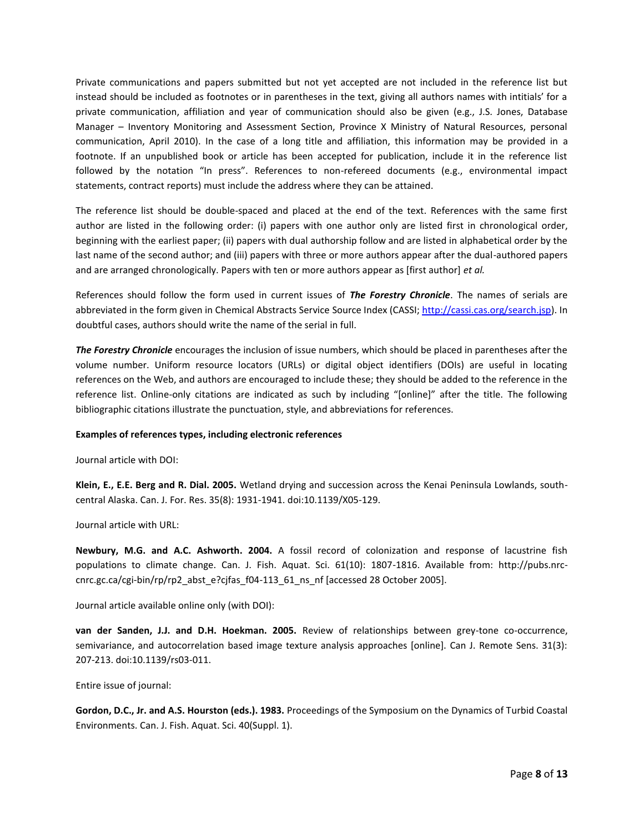Private communications and papers submitted but not yet accepted are not included in the reference list but instead should be included as footnotes or in parentheses in the text, giving all authors names with intitials' for a private communication, affiliation and year of communication should also be given (e.g., J.S. Jones, Database Manager – Inventory Monitoring and Assessment Section, Province X Ministry of Natural Resources, personal communication, April 2010). In the case of a long title and affiliation, this information may be provided in a footnote. If an unpublished book or article has been accepted for publication, include it in the reference list followed by the notation "In press". References to non-refereed documents (e.g., environmental impact statements, contract reports) must include the address where they can be attained.

The reference list should be double-spaced and placed at the end of the text. References with the same first author are listed in the following order: (i) papers with one author only are listed first in chronological order, beginning with the earliest paper; (ii) papers with dual authorship follow and are listed in alphabetical order by the last name of the second author; and (iii) papers with three or more authors appear after the dual-authored papers and are arranged chronologically. Papers with ten or more authors appear as [first author] *et al.*

References should follow the form used in current issues of *The Forestry Chronicle*. The names of serials are abbreviated in the form given in Chemical Abstracts Service Source Index (CASSI[; http://cassi.cas.org/search.jsp\)](http://cassi.cas.org/search.jsp). In doubtful cases, authors should write the name of the serial in full.

*The Forestry Chronicle* encourages the inclusion of issue numbers, which should be placed in parentheses after the volume number. Uniform resource locators (URLs) or digital object identifiers (DOIs) are useful in locating references on the Web, and authors are encouraged to include these; they should be added to the reference in the reference list. Online-only citations are indicated as such by including "[online]" after the title. The following bibliographic citations illustrate the punctuation, style, and abbreviations for references.

### **Examples of references types, including electronic references**

Journal article with DOI:

**Klein, E., E.E. Berg and R. Dial. 2005.** Wetland drying and succession across the Kenai Peninsula Lowlands, southcentral Alaska. Can. J. For. Res. 35(8): 1931-1941. doi:10.1139/X05-129.

Journal article with URL:

**Newbury, M.G. and A.C. Ashworth. 2004.** A fossil record of colonization and response of lacustrine fish populations to climate change. Can. J. Fish. Aquat. Sci. 61(10): 1807-1816. Available from: http://pubs.nrccnrc.gc.ca/cgi-bin/rp/rp2\_abst\_e?cjfas\_f04-113\_61\_ns\_nf [accessed 28 October 2005].

Journal article available online only (with DOI):

**van der Sanden, J.J. and D.H. Hoekman. 2005.** Review of relationships between grey-tone co-occurrence, semivariance, and autocorrelation based image texture analysis approaches [online]. Can J. Remote Sens. 31(3): 207-213. doi:10.1139/rs03-011.

Entire issue of journal:

**Gordon, D.C., Jr. and A.S. Hourston (eds.). 1983.** Proceedings of the Symposium on the Dynamics of Turbid Coastal Environments. Can. J. Fish. Aquat. Sci. 40(Suppl. 1).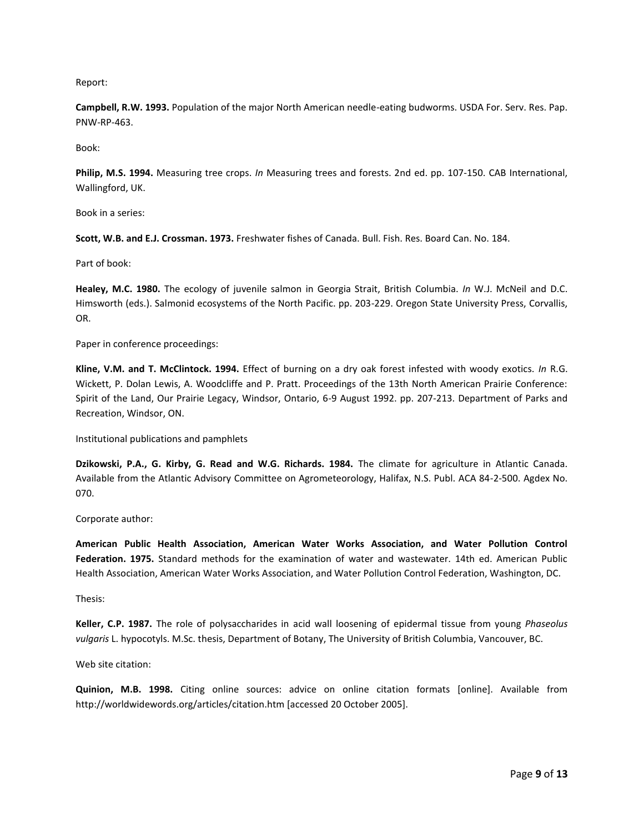Report:

**Campbell, R.W. 1993.** Population of the major North American needle-eating budworms. USDA For. Serv. Res. Pap. PNW-RP-463.

Book:

**Philip, M.S. 1994.** Measuring tree crops. *In* Measuring trees and forests. 2nd ed. pp. 107-150. CAB International, Wallingford, UK.

Book in a series:

**Scott, W.B. and E.J. Crossman. 1973.** Freshwater fishes of Canada. Bull. Fish. Res. Board Can. No. 184.

Part of book:

**Healey, M.C. 1980.** The ecology of juvenile salmon in Georgia Strait, British Columbia. *In* W.J. McNeil and D.C. Himsworth (eds.). Salmonid ecosystems of the North Pacific. pp. 203-229. Oregon State University Press, Corvallis, OR.

Paper in conference proceedings:

**Kline, V.M. and T. McClintock. 1994.** Effect of burning on a dry oak forest infested with woody exotics. *In* R.G. Wickett, P. Dolan Lewis, A. Woodcliffe and P. Pratt. Proceedings of the 13th North American Prairie Conference: Spirit of the Land, Our Prairie Legacy, Windsor, Ontario, 6-9 August 1992. pp. 207-213. Department of Parks and Recreation, Windsor, ON.

Institutional publications and pamphlets

**Dzikowski, P.A., G. Kirby, G. Read and W.G. Richards. 1984.** The climate for agriculture in Atlantic Canada. Available from the Atlantic Advisory Committee on Agrometeorology, Halifax, N.S. Publ. ACA 84-2-500. Agdex No. 070.

Corporate author:

**American Public Health Association, American Water Works Association, and Water Pollution Control Federation. 1975.** Standard methods for the examination of water and wastewater. 14th ed. American Public Health Association, American Water Works Association, and Water Pollution Control Federation, Washington, DC.

Thesis:

**Keller, C.P. 1987.** The role of polysaccharides in acid wall loosening of epidermal tissue from young *Phaseolus vulgaris* L. hypocotyls. M.Sc. thesis, Department of Botany, The University of British Columbia, Vancouver, BC.

Web site citation:

**Quinion, M.B. 1998.** Citing online sources: advice on online citation formats [online]. Available from http://worldwidewords.org/articles/citation.htm [accessed 20 October 2005].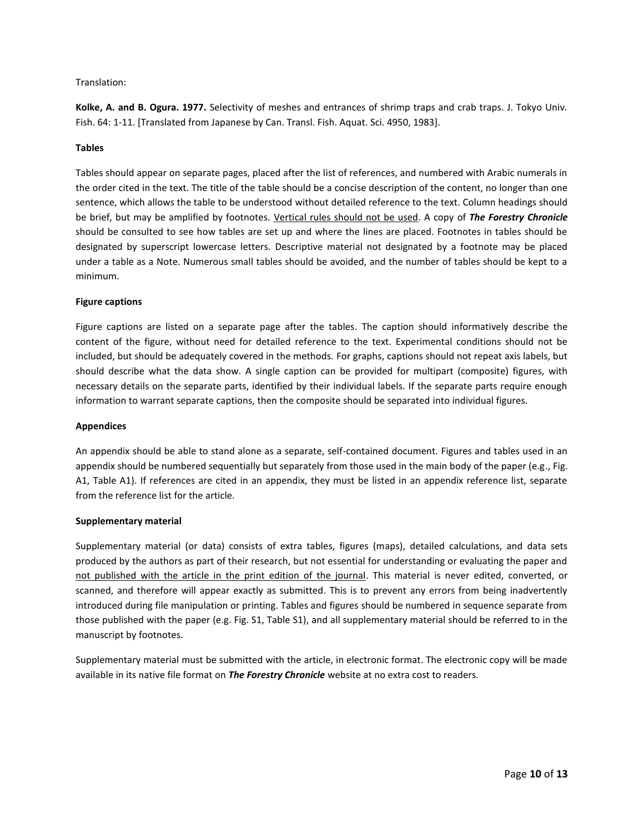# Translation:

**Kolke, A. and B. Ogura. 1977.** Selectivity of meshes and entrances of shrimp traps and crab traps. J. Tokyo Univ. Fish. 64: 1-11. [Translated from Japanese by Can. Transl. Fish. Aquat. Sci. 4950, 1983].

### **Tables**

Tables should appear on separate pages, placed after the list of references, and numbered with Arabic numerals in the order cited in the text. The title of the table should be a concise description of the content, no longer than one sentence, which allows the table to be understood without detailed reference to the text. Column headings should be brief, but may be amplified by footnotes. Vertical rules should not be used. A copy of *The Forestry Chronicle* should be consulted to see how tables are set up and where the lines are placed. Footnotes in tables should be designated by superscript lowercase letters. Descriptive material not designated by a footnote may be placed under a table as a Note. Numerous small tables should be avoided, and the number of tables should be kept to a minimum.

### **Figure captions**

Figure captions are listed on a separate page after the tables. The caption should informatively describe the content of the figure, without need for detailed reference to the text. Experimental conditions should not be included, but should be adequately covered in the methods. For graphs, captions should not repeat axis labels, but should describe what the data show. A single caption can be provided for multipart (composite) figures, with necessary details on the separate parts, identified by their individual labels. If the separate parts require enough information to warrant separate captions, then the composite should be separated into individual figures.

### **Appendices**

An appendix should be able to stand alone as a separate, self-contained document. Figures and tables used in an appendix should be numbered sequentially but separately from those used in the main body of the paper (e.g., Fig. A1, Table A1). If references are cited in an appendix, they must be listed in an appendix reference list, separate from the reference list for the article.

### **Supplementary material**

Supplementary material (or data) consists of extra tables, figures (maps), detailed calculations, and data sets produced by the authors as part of their research, but not essential for understanding or evaluating the paper and not published with the article in the print edition of the journal. This material is never edited, converted, or scanned, and therefore will appear exactly as submitted. This is to prevent any errors from being inadvertently introduced during file manipulation or printing. Tables and figures should be numbered in sequence separate from those published with the paper (e.g. Fig. S1, Table S1), and all supplementary material should be referred to in the manuscript by footnotes.

Supplementary material must be submitted with the article, in electronic format. The electronic copy will be made available in its native file format on *The Forestry Chronicle* website at no extra cost to readers.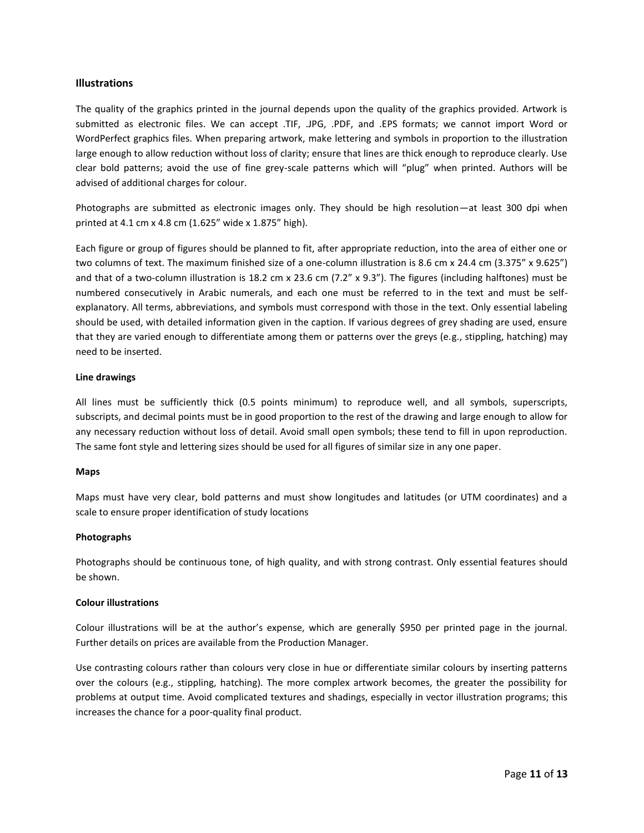# <span id="page-10-0"></span>**Illustrations**

The quality of the graphics printed in the journal depends upon the quality of the graphics provided. Artwork is submitted as electronic files. We can accept .TIF, .JPG, .PDF, and .EPS formats; we cannot import Word or WordPerfect graphics files. When preparing artwork, make lettering and symbols in proportion to the illustration large enough to allow reduction without loss of clarity; ensure that lines are thick enough to reproduce clearly. Use clear bold patterns; avoid the use of fine grey-scale patterns which will "plug" when printed. Authors will be advised of additional charges for colour.

Photographs are submitted as electronic images only. They should be high resolution—at least 300 dpi when printed at 4.1 cm x 4.8 cm (1.625" wide x 1.875" high).

Each figure or group of figures should be planned to fit, after appropriate reduction, into the area of either one or two columns of text. The maximum finished size of a one-column illustration is 8.6 cm x 24.4 cm (3.375" x 9.625") and that of a two-column illustration is 18.2 cm x 23.6 cm (7.2" x 9.3"). The figures (including halftones) must be numbered consecutively in Arabic numerals, and each one must be referred to in the text and must be selfexplanatory. All terms, abbreviations, and symbols must correspond with those in the text. Only essential labeling should be used, with detailed information given in the caption. If various degrees of grey shading are used, ensure that they are varied enough to differentiate among them or patterns over the greys (e.g., stippling, hatching) may need to be inserted.

# **Line drawings**

All lines must be sufficiently thick (0.5 points minimum) to reproduce well, and all symbols, superscripts, subscripts, and decimal points must be in good proportion to the rest of the drawing and large enough to allow for any necessary reduction without loss of detail. Avoid small open symbols; these tend to fill in upon reproduction. The same font style and lettering sizes should be used for all figures of similar size in any one paper.

### **Maps**

Maps must have very clear, bold patterns and must show longitudes and latitudes (or UTM coordinates) and a scale to ensure proper identification of study locations

### **Photographs**

Photographs should be continuous tone, of high quality, and with strong contrast. Only essential features should be shown.

### **Colour illustrations**

Colour illustrations will be at the author's expense, which are generally \$950 per printed page in the journal. Further details on prices are available from the Production Manager.

Use contrasting colours rather than colours very close in hue or differentiate similar colours by inserting patterns over the colours (e.g., stippling, hatching). The more complex artwork becomes, the greater the possibility for problems at output time. Avoid complicated textures and shadings, especially in vector illustration programs; this increases the chance for a poor-quality final product.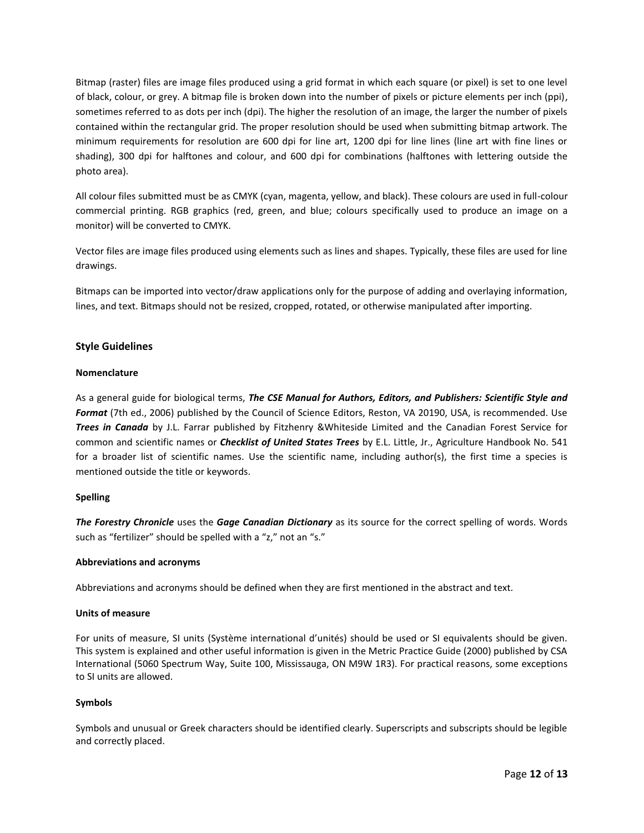Bitmap (raster) files are image files produced using a grid format in which each square (or pixel) is set to one level of black, colour, or grey. A bitmap file is broken down into the number of pixels or picture elements per inch (ppi), sometimes referred to as dots per inch (dpi). The higher the resolution of an image, the larger the number of pixels contained within the rectangular grid. The proper resolution should be used when submitting bitmap artwork. The minimum requirements for resolution are 600 dpi for line art, 1200 dpi for line lines (line art with fine lines or shading), 300 dpi for halftones and colour, and 600 dpi for combinations (halftones with lettering outside the photo area).

All colour files submitted must be as CMYK (cyan, magenta, yellow, and black). These colours are used in full-colour commercial printing. RGB graphics (red, green, and blue; colours specifically used to produce an image on a monitor) will be converted to CMYK.

Vector files are image files produced using elements such as lines and shapes. Typically, these files are used for line drawings.

Bitmaps can be imported into vector/draw applications only for the purpose of adding and overlaying information, lines, and text. Bitmaps should not be resized, cropped, rotated, or otherwise manipulated after importing.

# <span id="page-11-0"></span>**Style Guidelines**

### **Nomenclature**

As a general guide for biological terms, *The CSE Manual for Authors, Editors, and Publishers: Scientific Style and Format* (7th ed., 2006) published by the Council of Science Editors, Reston, VA 20190, USA, is recommended. Use *Trees in Canada* by J.L. Farrar published by Fitzhenry &Whiteside Limited and the Canadian Forest Service for common and scientific names or *Checklist of United States Trees* by E.L. Little, Jr., Agriculture Handbook No. 541 for a broader list of scientific names. Use the scientific name, including author(s), the first time a species is mentioned outside the title or keywords.

### **Spelling**

*The Forestry Chronicle* uses the *Gage Canadian Dictionary* as its source for the correct spelling of words. Words such as "fertilizer" should be spelled with a "z," not an "s."

### **Abbreviations and acronyms**

Abbreviations and acronyms should be defined when they are first mentioned in the abstract and text.

### **Units of measure**

For units of measure, SI units (Système international d'unités) should be used or SI equivalents should be given. This system is explained and other useful information is given in the Metric Practice Guide (2000) published by CSA International (5060 Spectrum Way, Suite 100, Mississauga, ON M9W 1R3). For practical reasons, some exceptions to SI units are allowed.

### **Symbols**

Symbols and unusual or Greek characters should be identified clearly. Superscripts and subscripts should be legible and correctly placed.